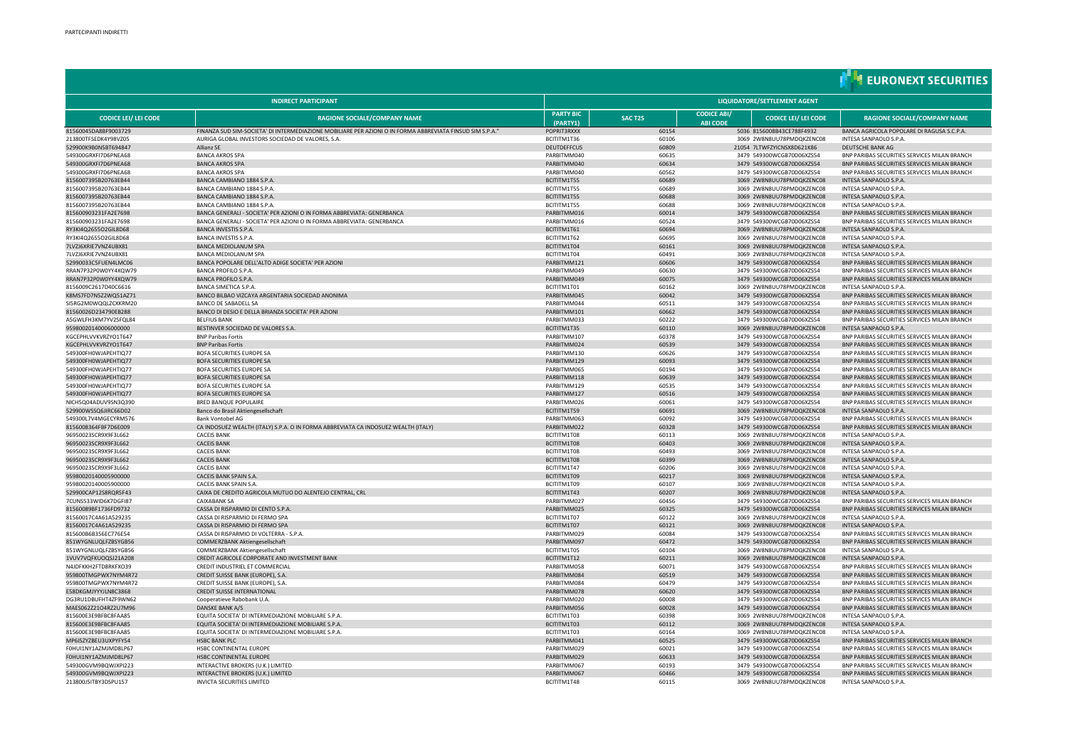|                                              |                                                                                                                                                                |                              |                              |                                       |                                                        | <b>THEURONEXT SECURITIES</b>                                                                 |  |  |  |
|----------------------------------------------|----------------------------------------------------------------------------------------------------------------------------------------------------------------|------------------------------|------------------------------|---------------------------------------|--------------------------------------------------------|----------------------------------------------------------------------------------------------|--|--|--|
| <b>INDIRECT PARTICIPANT</b>                  |                                                                                                                                                                |                              | LIQUIDATORE/SETTLEMENT AGENT |                                       |                                                        |                                                                                              |  |  |  |
| <b>CODICE LEI/ LEI CODE</b>                  | <b>RAGIONE SOCIALE/COMPANY NAME</b>                                                                                                                            | <b>PARTY BIC</b><br>(PARTY1) | <b>SAC T2S</b>               | <b>CODICE ABI/</b><br><b>ABI CODE</b> | <b>CODICE LEI/ LEI CODE</b>                            | <b>RAGIONE SOCIALE/COMPANY NAME</b>                                                          |  |  |  |
| 81560045DA8BF9003729<br>213800TFSEDK4Y98VZ05 | FINANZA SUD SIM-SOCIETA' DI INTERMEDIAZIONE MOBILIARE PER AZIONI O IN FORMA ABBREVIATA FINSUD SIM S.P.A."<br>AURIGA GLOBAL INVESTORS SOCIEDAD DE VALORES, S.A. | POPRIT3RXXX<br>BCITITM1T36   | 60154<br>60106               |                                       | 5036 8156008B43CE788F4932<br>3069 2W8N8UU78PMDQKZENC08 | BANCA AGRICOLA POPOLARE DI RAGUSA S.C.P.A<br>INTESA SANPAOLO S.P.A.                          |  |  |  |
| 529900K9B0N5BT694847                         | Allianz SE                                                                                                                                                     | <b>DEUTDEFFCUS</b>           | 60809                        |                                       | 21054 7LTWFZYICNSX8D621K86                             | DEUTSCHE BANK AG                                                                             |  |  |  |
| 549300GRXFI7D6PNEA68                         | <b>BANCA AKROS SPA</b>                                                                                                                                         | PARBITMM040                  | 60635                        |                                       | 3479 549300WCGB70D06XZS54                              | BNP PARIBAS SECURITIES SERVICES MILAN BRANCH                                                 |  |  |  |
| 549300GRXFI7D6PNEA68                         | <b>BANCA AKROS SPA</b>                                                                                                                                         | PARBITMM040                  | 60634                        |                                       | 3479 549300WCGB70D06XZS54                              | BNP PARIBAS SECURITIES SERVICES MILAN BRANCH                                                 |  |  |  |
| 549300GRXFI7D6PNEA68                         | <b>BANCA AKROS SPA</b>                                                                                                                                         | PARBITMM040                  | 60562                        |                                       | 3479 549300WCGB70D06XZS54                              | BNP PARIBAS SECURITIES SERVICES MILAN BRANCH                                                 |  |  |  |
| 8156007395B20763EB44                         | BANCA CAMBIANO 1884 S.P.A.                                                                                                                                     | BCITITM1T55                  | 60689                        |                                       | 3069 2W8N8UU78PMDQKZENC08                              | INTESA SANPAOLO S.P.A.                                                                       |  |  |  |
| 8156007395B20763EB44                         | BANCA CAMBIANO 1884 S.P.A.<br>BANCA CAMBIANO 1884 S.P.A                                                                                                        | BCITITM1T55                  | 60689<br>60688               |                                       | 3069 2W8N8UU78PMDQKZENC08                              | INTESA SANPAOLO S.P.A.                                                                       |  |  |  |
| 8156007395B20763EB44<br>8156007395B20763EB44 | BANCA CAMBIANO 1884 S.P.A                                                                                                                                      | BCITITM1T55<br>BCITITM1T55   | 60688                        |                                       | 3069 2W8N8UU78PMDQKZENC08<br>3069 2W8N8UU78PMDQKZENC08 | INTESA SANPAOLO S.P.A.<br>INTESA SANPAOLO S.P.A.                                             |  |  |  |
| 815600903231FA2E7698                         | BANCA GENERALI - SOCIETA' PER AZIONI O IN FORMA ABBREVIATA: GENERBANCA                                                                                         | PARRITMM016                  | 60014                        |                                       | 3479 549300WCGB70D06XZS54                              | BNP PARIBAS SECURITIES SERVICES MILAN BRANCH                                                 |  |  |  |
| 815600903231FA2E7698                         | BANCA GENERALI - SOCIETA' PER AZIONI O IN FORMA ABBREVIATA: GENERBANCA                                                                                         | PARRITMM016                  | 60524                        |                                       | 3479 549300WCGB70D06XZS54                              | BNP PARIBAS SECURITIES SERVICES MILAN BRANCH                                                 |  |  |  |
| RY3KI40265502GII 8D68                        | BANCA INVESTIS S.P.A.                                                                                                                                          | BCITITM1T61                  | 60694                        |                                       | 3069 2W8N8UU78PMDOK7FNC08                              | INTESA SANPAOLO S.P.A.                                                                       |  |  |  |
| RY3KI4Q2655O2GIL8D68                         | <b>BANCA INVESTIS S.P.A.</b>                                                                                                                                   | BCITITM1T62                  | 60695                        |                                       | 3069 2W8N8UU78PMDQKZENC08                              | INTESA SANPAOLO S.P.A.                                                                       |  |  |  |
| 71 V716XRIF7VN74UBX81                        | BANCA MEDIOLANUM SPA                                                                                                                                           | BCITITM1T04                  | 60161                        |                                       | 3069 2W8N8UU78PMDOK7FNC08                              | INTESA SANPAOLO S.P.A.                                                                       |  |  |  |
| 7LVZJ6XRIE7VNZ4UBX81                         | <b>BANCA MEDIOLANUM SPA</b>                                                                                                                                    | BCITITM1T04                  | 60491                        |                                       | 3069 2W8N8UU78PMDQKZENC08                              | INTESA SANPAOLO S.P.A.                                                                       |  |  |  |
| 52990033C5FUEN4LMC06<br>RRAN7P32P0W0YY4XQW79 | BANCA POPOLARE DELL'ALTO ADIGE SOCIETA' PER AZIONI<br><b>BANCA PROFILO S.P.A.</b>                                                                              | PARBITMM121<br>PARBITMM049   | 60606<br>60630               |                                       | 3479 549300WCGB70D06XZS54<br>3479 549300WCGB70D06XZS54 | BNP PARIBAS SECURITIES SERVICES MILAN BRANCH<br>BNP PARIBAS SECURITIES SERVICES MILAN BRANCH |  |  |  |
| RRAN7P32P0W0YY4XQW79                         | <b>BANCA PROFILO S.P.A.</b>                                                                                                                                    | PARRITMM049                  | 60075                        |                                       | 3479 549300WCGB70D06XZS54                              | BNP PARIBAS SECURITIES SERVICES MILAN BRANCH                                                 |  |  |  |
| 8156009C2617D40C6616                         | <b>BANCA SIMETICA S.P.A.</b>                                                                                                                                   | BCITITM1T01                  | 60162                        |                                       | 3069 2W8N8UU78PMDQKZENC08                              | INTESA SANPAOLO S.P.A.                                                                       |  |  |  |
| K8MS7FD7N5Z2WQ51AZ71                         | BANCO BILBAO VIZCAYA ARGENTARIA SOCIEDAD ANONIMA                                                                                                               | PARBITMM045                  | 60042                        |                                       | 3479 549300WCGB70D06XZS54                              | BNP PARIBAS SECURITIES SERVICES MILAN BRANCH                                                 |  |  |  |
| SI5RG2M0WQQLZCXKRM20                         | <b>BANCO DE SABADELL SA</b>                                                                                                                                    | PARBITMM044                  | 60511                        |                                       | 3479 549300WCGB70D06XZS54                              | BNP PARIBAS SECURITIES SERVICES MILAN BRANCH                                                 |  |  |  |
| 81560026D234790EB288                         | BANCO DI DESIO E DELLA BRIANZA SOCIETA' PER AZIONI                                                                                                             | PARBITMM101                  | 60662                        |                                       | 3479 549300WCGB70D06XZS54                              | BNP PARIBAS SECURITIES SERVICES MILAN BRANCH                                                 |  |  |  |
| A5GWLFH3KM7YV2SFQL84                         | <b>BELFIUS BANK</b>                                                                                                                                            | PARBITMM033                  | 60222                        |                                       | 3479 549300WCGB70D06XZS54                              | BNP PARIBAS SECURITIES SERVICES MILAN BRANCH                                                 |  |  |  |
| 95980020140006000000                         | BESTINVER SOCIEDAD DE VALORES S.A.                                                                                                                             | BCITITM1T35                  | 60110                        |                                       | 3069 2W8N8UU78PMDQKZENC08                              | INTESA SANPAOLO S.P.A.                                                                       |  |  |  |
| KGCEPHLVVKVRZYO1T647<br>KGCEPHLVVKVRZYO1T647 | <b>BNP Paribas Fortis</b><br><b>BNP Paribas Fortis</b>                                                                                                         | PARBITMM107<br>PARBITMM024   | 60378<br>60539               |                                       | 3479 549300WCGB70D06XZS54<br>3479 549300WCGB70D06XZS54 | BNP PARIBAS SECURITIES SERVICES MILAN BRANCH<br>BNP PARIBAS SECURITIES SERVICES MILAN BRANCH |  |  |  |
| 549300FH0WIAPFHTIO77                         | BOFA SECURITIES EUROPE SA                                                                                                                                      | PARRITMM130                  | 60626                        |                                       | 3479 549300WCGB70D06X7S54                              | BNP PARIBAS SECURITIES SERVICES MILAN BRANCH                                                 |  |  |  |
| 549300FH0WJAPEHTIQ77                         | <b>BOFA SECURITIES EUROPE SA</b>                                                                                                                               | PARBITMM129                  | 60093                        |                                       | 3479 549300WCGB70D06X7S54                              | BNP PARIBAS SECURITIES SERVICES MILAN BRANCH                                                 |  |  |  |
| 549300FH0WIAPFHTIO77                         | BOFA SECURITIES EUROPE SA                                                                                                                                      | PARRITMM065                  | 60194                        |                                       | 3479 549300WCGB70D06XZS54                              | BNP PARIBAS SECURITIES SERVICES MILAN BRANCH                                                 |  |  |  |
| 549300FH0WJAPEHTIQ77                         | <b>BOFA SECURITIES EUROPE SA</b>                                                                                                                               | PARBITMM118                  | 60639                        |                                       | 3479 549300WCGB70D06XZS54                              | BNP PARIBAS SECURITIES SERVICES MILAN BRANCH                                                 |  |  |  |
| 549300FH0WJAPEHTIQ77                         | BOFA SECURITIES EUROPE SA                                                                                                                                      | PARRITMM129                  | 60535                        |                                       | 3479 549300WCGB70D06XZS54                              | BNP PARIBAS SECURITIES SERVICES MILAN BRANCH                                                 |  |  |  |
| 549300FH0WJAPEHTIQ77                         | <b>BOFA SECURITIES EUROPE SA</b>                                                                                                                               | PARBITMM127                  | 60516                        |                                       | 3479 549300WCGB70D06XZS54                              | BNP PARIBAS SECURITIES SERVICES MILAN BRANCH                                                 |  |  |  |
| NICH5Q04ADUV9SN3Q390                         | <b>BRED BANQUE POPULAIRE</b>                                                                                                                                   | PARBITMM026                  | 60061                        |                                       | 3479 549300WCGB70D06XZS54                              | BNP PARIBAS SECURITIES SERVICES MILAN BRANCH                                                 |  |  |  |
| 529900WSSQ6JIRC66D02<br>549300L7V4MGECYRM576 | Banco do Brasil Aktiengesellschaft<br><b>Bank Vontobel AG</b>                                                                                                  | BCITITM1T59<br>PARBITMM063   | 60691<br>60092               |                                       | 3069 2W8N8UU78PMDQKZENC08<br>3479 549300WCGB70D06XZS54 | INTESA SANPAOLO S.P.A.                                                                       |  |  |  |
| 8156008364FBF7D6E009                         | CA INDOSUEZ WEALTH (ITALY) S.P.A. O IN FORMA ABBREVIATA CA INDOSUEZ WEALTH (ITALY)                                                                             | PARBITMM022                  | 60328                        |                                       | 3479 549300WCGB70D06XZS54                              | BNP PARIBAS SECURITIES SERVICES MILAN BRANCH<br>BNP PARIBAS SECURITIES SERVICES MILAN BRANCH |  |  |  |
| 96950023SCR9X9F3L662                         | <b>CACEIS BANK</b>                                                                                                                                             | BCITITM1T08                  | 60113                        |                                       | 3069 2W8N8UU78PMDQKZENC08                              | INTESA SANPAOLO S.P.A.                                                                       |  |  |  |
| 96950023SCR9X9F3L662                         | <b>CACEIS BANK</b>                                                                                                                                             | BCITITM1T08                  | 60403                        |                                       | 3069 2W8N8UU78PMDQKZENC08                              | INTESA SANPAOLO S.P.A.                                                                       |  |  |  |
| 96950023SCR9X9F3L662                         | <b>CACEIS BANK</b>                                                                                                                                             | BCITITM1T08                  | 60493                        |                                       | 3069 2W8N8UU78PMDQKZENC08                              | INTESA SANPAOLO S.P.A.                                                                       |  |  |  |
| 96950023SCR9X9F3L662                         | <b>CACEIS BANK</b>                                                                                                                                             | BCITITM1T08                  | 60399                        |                                       | 3069 2W8N8UU78PMDQKZENC08                              | INTESA SANPAOLO S.P.A.                                                                       |  |  |  |
| 96950023SCR9X9F3L662                         | <b>CACEIS BANK</b>                                                                                                                                             | BCITITM1T47                  | 60206                        |                                       | 3069 2W8N8UU78PMDQKZENC08                              | INTESA SANPAOLO S.P.A                                                                        |  |  |  |
| 95980020140005900000                         | CACEIS BANK SPAIN S.A.                                                                                                                                         | BCITITM1T09<br>BCITITM1T09   | 60217<br>60107               |                                       | 3069 2W8N8UU78PMDQKZENC08<br>3069 2W8N8UU78PMDOK7FNC08 | INTESA SANPAOLO S.P.A.<br>INTESA SANPAOLO S.P.A.                                             |  |  |  |
| 95980020140005900000<br>529900CAP12S8RQR5F43 | CACEIS BANK SPAIN S.A.<br>CAIXA DE CREDITO AGRICOLA MUTUO DO ALENTEJO CENTRAL, CRL                                                                             | BCITITM1T43                  | 60207                        |                                       | 3069 2W8N8UU78PMDQKZENC08                              | INTESA SANPAOLO S.P.A.                                                                       |  |  |  |
| 7CUNS533WID6K7DGFI87                         | <b>CAIXABANK SA</b>                                                                                                                                            | PARRITMM027                  | 60456                        |                                       | 3479 549300WCGB70D06X7S54                              | BNP PARIBAS SECURITIES SERVICES MILAN BRANCH                                                 |  |  |  |
| 81560089BF1736FD9732                         | CASSA DI RISPARMIO DI CENTO S.P.A.                                                                                                                             | PARRITMM025                  | 60325                        |                                       | 3479 549300WCGB70D06X7S54                              | BNP PARIBAS SECURITIES SERVICES MILAN BRANCH                                                 |  |  |  |
| 81560017C4A61A529235                         | CASSA DI RISPARMIO DI FERMO SPA                                                                                                                                | BCITITM1T07                  | 60122                        |                                       | 3069 2W8N8UU78PMDQKZENC08                              | INTESA SANPAOLO S.P.A.                                                                       |  |  |  |
| 81560017C4A61A529235                         | CASSA DI RISPARMIO DI FERMO SPA                                                                                                                                | BCITITM1T07                  | 60121                        |                                       | 3069 2W8N8UU78PMDQKZENC08                              | INTESA SANPAOLO S.P.A.                                                                       |  |  |  |
| 815600B6B356EC776E54                         | CASSA DI RISPARMIO DI VOLTERRA - S.P.A.                                                                                                                        | PARBITMM029                  | 60084                        |                                       | 3479 549300WCGB70D06XZS54                              | BNP PARIBAS SECURITIES SERVICES MILAN BRANCH                                                 |  |  |  |
| 851WYGNLUQLFZBSYGB56                         | COMMERZBANK Aktiengesellschaft                                                                                                                                 | PARBITMM097                  | 60472                        |                                       | 3479 549300WCGB70D06XZS54                              | BNP PARIBAS SECURITIES SERVICES MILAN BRANCH                                                 |  |  |  |
| 851WYGNLUQLFZBSYGB56                         | COMMERZBANK Aktiengesellschaft                                                                                                                                 | BCITITM1T05<br>BCITITM1T12   | 60104                        |                                       | 3069 2W8N8UU78PMDQKZENC08                              | INTESA SANPAOLO S.P.A.                                                                       |  |  |  |
| 1VUV7VQFKUOQSJ21A208<br>N4JDFKKH2FTD8RKFXO39 | CREDIT AGRICOLE CORPORATE AND INVESTMENT BANK<br>CREDIT INDUSTRIEL ET COMMERCIAL                                                                               | PARBITMM058                  | 60211<br>60071               |                                       | 3069 2W8N8UU78PMDQKZENC08<br>3479 549300WCGB70D06XZS54 | INTESA SANPAOLO S.P.A.<br>BNP PARIBAS SECURITIES SERVICES MILAN BRANCH                       |  |  |  |
| 959800TMGPWX7NYM4R72                         | CREDIT SUISSE BANK (EUROPE), S.A.                                                                                                                              | PARBITMM084                  | 60519                        |                                       | 3479 549300WCGB70D06XZS54                              | BNP PARIBAS SECURITIES SERVICES MILAN BRANCH                                                 |  |  |  |
| 959800TMGPWX7NYM4R72                         | CREDIT SUISSE BANK (EUROPE), S.A.                                                                                                                              | PARBITMM084                  | 60479                        |                                       | 3479 549300WCGB70D06XZS54                              | BNP PARIBAS SECURITIES SERVICES MILAN BRANCH                                                 |  |  |  |
| E58DKGMJYYYJLN8C3868                         | CREDIT SUISSE INTERNATIONAL                                                                                                                                    | PARBITMM078                  | 60620                        |                                       | 3479 549300WCGB70D06XZS54                              | BNP PARIBAS SECURITIES SERVICES MILAN BRANCH                                                 |  |  |  |
| DG3RU1DBUFHT4ZF9WN62                         | Cooperatieve Rabobank U.A                                                                                                                                      | PARBITMM020                  | 60008                        |                                       | 3479 549300WCGB70D06XZS54                              | BNP PARIBAS SECURITIES SERVICES MILAN BRANCH                                                 |  |  |  |
| MAES062Z21O4RZ2U7M96                         | DANSKE BANK A/S                                                                                                                                                | PARBITMM056                  | 60028                        |                                       | 3479 549300WCGB70D06XZS54                              | BNP PARIBAS SECURITIES SERVICES MILAN BRANCH                                                 |  |  |  |
| 815600E3F9BEBC8EAA85                         | EQUITA SOCIETA' DI INTERMEDIAZIONE MOBILIARE S.P.A.                                                                                                            | BCITITM1T03                  | 60398                        |                                       | 3069 2W8N8UU78PMDOK7FNC08                              | INTESA SANPAOLO S.P.A.                                                                       |  |  |  |
| 815600E3E9BFBC8FAA85<br>815600F3F9BFBC8FAA85 | FOUITA SOCIETA' DI INTERMEDIAZIONE MOBILIARE S.P.A.<br>EQUITA SOCIETA' DI INTERMEDIAZIONE MOBILIARE S.P.A.                                                     | BCITITM1T03<br>BCITITM1T03   | 60112<br>60164               |                                       | 3069 2W8N8UU78PMDQKZENC08<br>3069 2W8N8UU78PMDOK7FNC08 | INTESA SANPAOLO S.P.A.<br>INTESA SANPAOLO S.P.A.                                             |  |  |  |
| MP6I57Y7BFU3UXPYFY54                         | <b>HSBC BANK PLC</b>                                                                                                                                           | PARRITMM041                  | 60525                        |                                       | 3479 549300WCGB70D06X7S54                              | BNP PARIBAS SECURITIES SERVICES MILAN BRANCH                                                 |  |  |  |
| F0HUI1NY1AZMJMD8LP67                         | HSBC CONTINENTAL EUROPE                                                                                                                                        | PARBITMM029                  | 60021                        |                                       | 3479 549300WCGB70D06XZS54                              | BNP PARIBAS SECURITIES SERVICES MILAN BRANCH                                                 |  |  |  |
| F0HUI1NY1AZMJMD8LP67                         | HSBC CONTINENTAL EUROPE                                                                                                                                        | PARBITMM029                  | 60633                        |                                       | 3479 549300WCGB70D06XZS54                              | BNP PARIBAS SECURITIES SERVICES MILAN BRANCH                                                 |  |  |  |
| 549300GVM9BQWJXPI223                         | INTERACTIVE BROKERS (U.K.) LIMITED                                                                                                                             | PARBITMM067                  | 60193                        |                                       | 3479 549300WCGB70D06XZS54                              | BNP PARIBAS SECURITIES SERVICES MILAN BRANCH                                                 |  |  |  |
| 549300GVM9BQWJXPI223                         | INTERACTIVE BROKERS (U.K.) LIMITED                                                                                                                             | PARBITMM067                  | 60466                        |                                       | 3479 549300WCGB70D06XZS54                              | BNP PARIBAS SECURITIES SERVICES MILAN BRANCH                                                 |  |  |  |
| 213800J5ITBY3DSPU157                         | INVICTA SECURITIES LIMITED                                                                                                                                     | BCITITM1T48                  | 60115                        |                                       | 3069 2W8N8UU78PMDQKZENC08                              | INTESA SANPAOLO S.P.A.                                                                       |  |  |  |